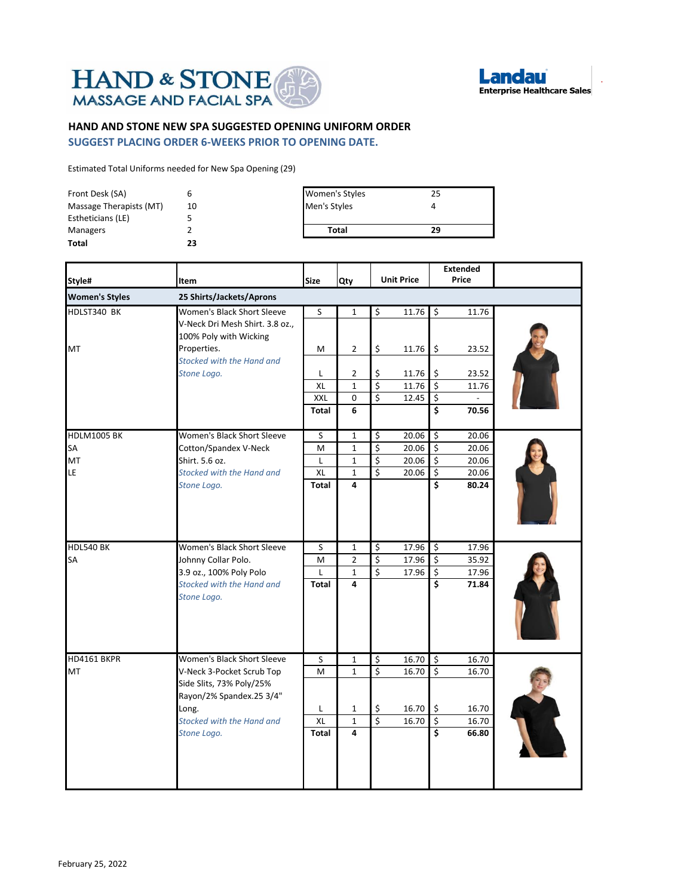



## **HAND AND STONE NEW SPA SUGGESTED OPENING UNIFORM ORDER**

**SUGGEST PLACING ORDER 6-WEEKS PRIOR TO OPENING DATE.**

Estimated Total Uniforms needed for New Spa Opening (29)

| Front Desk (SA)         |    | <b>Women's Styles</b> | 25 |
|-------------------------|----|-----------------------|----|
| Massage Therapists (MT) | 10 | Men's Styles          |    |
| Estheticians (LE)       |    |                       |    |
| Managers                |    | <b>Total</b>          | 29 |
| <b>Total</b>            | 23 |                       |    |

| Style#                | <b>Item</b>                                                                             | <b>Size</b>  | Qty               |                         | <b>Unit Price</b> |                                 | <b>Extended</b><br>Price |  |
|-----------------------|-----------------------------------------------------------------------------------------|--------------|-------------------|-------------------------|-------------------|---------------------------------|--------------------------|--|
| <b>Women's Styles</b> | 25 Shirts/Jackets/Aprons                                                                |              |                   |                         |                   |                                 |                          |  |
| HDLST340 BK           | Women's Black Short Sleeve<br>V-Neck Dri Mesh Shirt. 3.8 oz.,<br>100% Poly with Wicking | S            | $\mathbf{1}$      | \$                      | 11.76             | $\mathsf{S}$                    | 11.76                    |  |
| MT                    | Properties.<br>Stocked with the Hand and                                                | M            | 2                 | \$                      | 11.76             | l\$                             | 23.52                    |  |
|                       | Stone Logo.                                                                             | L            | $\overline{2}$    | \$                      | 11.76             | \$                              | 23.52                    |  |
|                       |                                                                                         | XL           | $\mathbf{1}$      | \$                      | 11.76             | $\overline{\mathbf{5}}$         | 11.76                    |  |
|                       |                                                                                         | XXL          | 0                 | \$                      | 12.45             | $\ddot{\mathsf{s}}$             |                          |  |
|                       |                                                                                         | Total        | 6                 |                         |                   | $\overline{\boldsymbol{\zeta}}$ | 70.56                    |  |
| <b>HDLM1005 BK</b>    | Women's Black Short Sleeve                                                              | S.           | $\mathbf{1}$      | \$                      | 20.06             | $\mathsf{S}$                    | $\overline{20.06}$       |  |
| SA                    | Cotton/Spandex V-Neck                                                                   | M            | 1                 | \$                      | 20.06             | $\zeta$                         | 20.06                    |  |
| MT                    | Shirt. 5.6 oz.                                                                          | L            | $\mathbf{1}$      | \$                      | 20.06             | $\ddot{\varsigma}$              | 20.06                    |  |
| LE                    | Stocked with the Hand and                                                               | <b>XL</b>    | 1                 | \$                      | 20.06             | \$<br>Ś                         | 20.06                    |  |
|                       | Stone Logo.                                                                             | <b>Total</b> | 4                 |                         |                   |                                 | 80.24                    |  |
| <b>HDL540 BK</b>      | Women's Black Short Sleeve                                                              | S            | $\mathbf{1}$      | \$                      | 17.96             | $\mathsf{S}$                    | 17.96                    |  |
| SA                    | Johnny Collar Polo.                                                                     | M            | $\overline{2}$    | \$                      | 17.96             | $\zeta$                         | 35.92                    |  |
|                       | 3.9 oz., 100% Poly Polo<br>Stocked with the Hand and<br>Stone Logo.                     | L<br>Total   | $\mathbf{1}$<br>4 | Ś                       | 17.96             | $\overline{\mathbf{S}}$<br>\$   | 17.96<br>71.84           |  |
| <b>HD4161 BKPR</b>    | Women's Black Short Sleeve                                                              | S            | 1                 | \$                      | 16.70             | Ŝ.                              | 16.70                    |  |
| MT                    | V-Neck 3-Pocket Scrub Top<br>Side Slits, 73% Poly/25%<br>Rayon/2% Spandex.25 3/4"       | M            | 1                 | \$                      | 16.70             | \$                              | 16.70                    |  |
|                       | Long.                                                                                   | L            | $\mathbf{1}$      | \$                      | 16.70             | $\frac{1}{2}$                   | 16.70                    |  |
|                       | Stocked with the Hand and                                                               | <b>XL</b>    | $\mathbf{1}$      | $\overline{\mathsf{S}}$ | 16.70             | $\overline{\mathbf{S}}$         | 16.70                    |  |
|                       | Stone Logo.                                                                             | Total        | 4                 |                         |                   | $\overline{\boldsymbol{\zeta}}$ | 66.80                    |  |